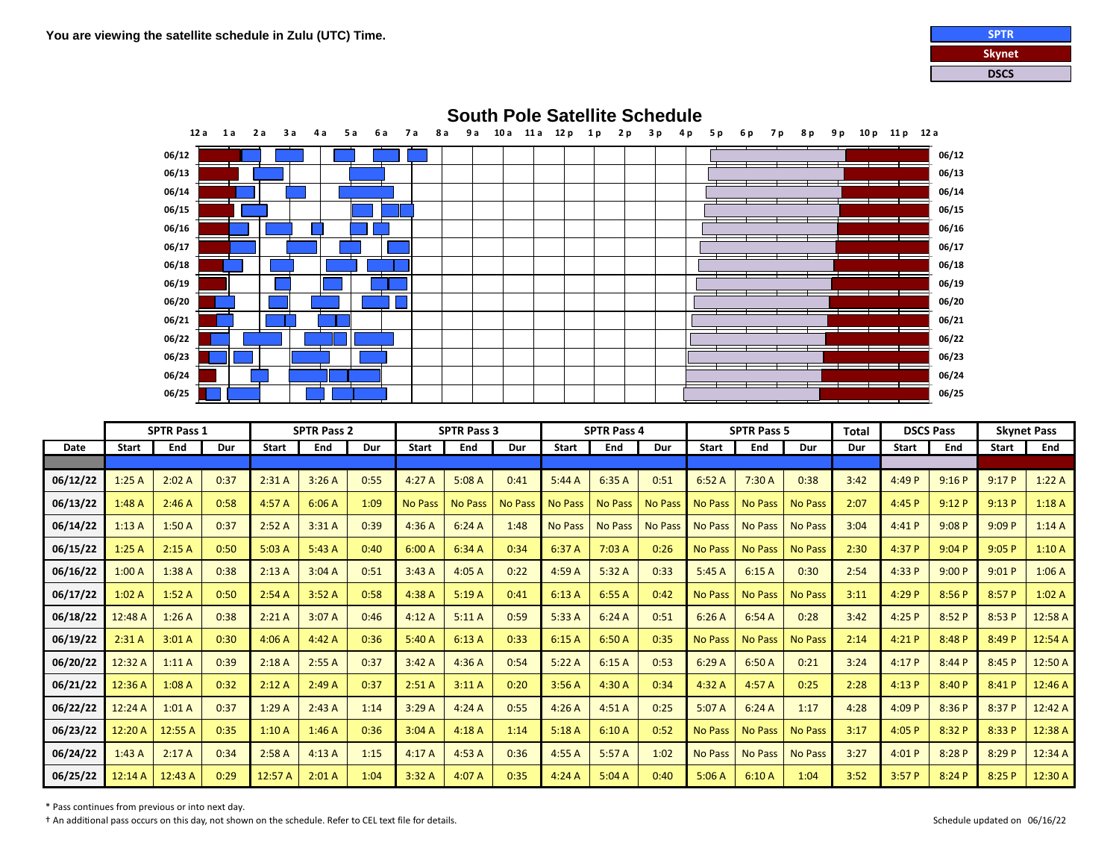



|             | <b>SPTR Pass 1</b> |            | <b>SPTR Pass 2</b> |              |        | <b>SPTR Pass 3</b> |                |                | <b>SPTR Pass 4</b> |                |                |                | <b>SPTR Pass 5</b> |                | Total          | <b>DSCS Pass</b> |              | <b>Skynet Pass</b> |              |         |
|-------------|--------------------|------------|--------------------|--------------|--------|--------------------|----------------|----------------|--------------------|----------------|----------------|----------------|--------------------|----------------|----------------|------------------|--------------|--------------------|--------------|---------|
| <b>Date</b> | <b>Start</b>       | <b>End</b> | Dur                | <b>Start</b> | End    | Dur                | <b>Start</b>   | End            | Dur                | <b>Start</b>   | End            | Dur            | <b>Start</b>       | End            | Dur            | Dur              | <b>Start</b> | End                | <b>Start</b> | End     |
|             |                    |            |                    |              |        |                    |                |                |                    |                |                |                |                    |                |                |                  |              |                    |              |         |
| 06/12/22    | 1:25A              | 2:02A      | 0:37               | 2:31A        | 3:26A  | 0:55               | 4:27A          | 5:08A          | 0:41               | 5:44A          | 6:35A          | 0:51           | 6:52A              | 7:30 A         | 0:38           | 3:42             | 4:49 P       | 9:16P              | 9:17P        | 1:22A   |
| 06/13/22    | 1:48A              | 2:46A      | 0:58               | 4:57A        | 6:06A  | 1:09               | <b>No Pass</b> | <b>No Pass</b> | <b>No Pas</b>      | <b>No Pass</b> | <b>No Pass</b> | <b>No Pass</b> | <b>No Pass</b>     | <b>No Pass</b> | <b>No Pass</b> | 2:07             | 4:45P        | 9:12P              | 9:13P        | 1:18A   |
| 06/14/22    | 1:13A              | 1:50A      | 0:37               | 2:52A        | 3:31A  | 0:39               | 4:36A          | 6:24A          | 1:48               | <b>No Pass</b> | <b>No Pass</b> | <b>No Pass</b> | <b>No Pass</b>     | <b>No Pass</b> | <b>No Pass</b> | 3:04             | 4:41P        | 9:08P              | 9:09P        | 1:14A   |
| 06/15/22    | 1:25A              | 2:15A      | 0:50               | 5:03A        | 5:43A  | 0:40               | 6:00A          | 6:34A          | 0:34               | 6:37 A         | 7:03A          | 0:26           | <b>No Pass</b>     | <b>No Pass</b> | <b>No Pass</b> | 2:30             | 4:37 P       | 9:04P              | 9:05P        | 1:10A   |
| 06/16/22    | 1:00A              | 1:38A      | 0:38               | 2:13A        | 3:04A  | 0:51               | 3:43A          | 4:05A          | 0:22               | 4:59A          | 5:32A          | 0:33           | 5:45A              | 6:15A          | 0:30           | 2:54             | 4:33 P       | 9:00P              | 9:01P        | 1:06A   |
| 06/17/22    | 1:02A              | 1:52A      | 0:50               | 2:54A        | 3:52A  | 0:58               | 4:38A          | 5:19A          | 0:41               | 6:13A          | 6:55A          | 0:42           | <b>No Pass</b>     | <b>No Pass</b> | <b>No Pass</b> | 3:11             | 4:29 P       | 8:56 P             | 8:57 P       | 1:02A   |
| 06/18/22    | 12:48 A            | 1:26A      | 0:38               | 2:21A        | 3:07A  | 0:46               | 4:12A          | 5:11A          | 0:59               | 5:33A          | 6:24A          | 0:51           | 6:26A              | 6:54A          | 0:28           | 3:42             | 4:25P        | 8:52P              | 8:53 P       | 12:58 A |
| 06/19/22    | 2:31A              | 3:01A      | 0:30               | 4:06A        | 4:42 A | 0:36               | 5:40A          | 6:13A          | 0:33               | 6:15A          | 6:50A          | 0:35           | <b>No Pass</b>     | <b>No Pass</b> | <b>No Pass</b> | 2:14             | 4:21P        | 8:48 P             | 8:49 P       | 12:54 A |
| 06/20/22    | 12:32 A            | 1:11A      | 0:39               | 2:18A        | 2:55A  | 0:37               | 3:42A          | 4:36A          | 0:54               | 5:22A          | 6:15A          | 0:53           | 6:29A              | 6:50A          | 0:21           | 3:24             | 4:17P        | 8:44 P             | 8:45 P       | 12:50 A |
| 06/21/22    | 12:36 A            | 1:08A      | 0:32               | 2:12A        | 2:49A  | 0:37               | 2:51A          | 3:11A          | 0:20               | 3:56A          | 4:30 A         | 0:34           | 4:32 A             | 4:57 A         | 0:25           | 2:28             | 4:13P        | 8:40P              | 8:41P        | 12:46 A |
| 06/22/22    | 12:24 A            | 1:01A      | 0:37               | 1:29A        | 2:43A  | 1:14               | 3:29A          | 4:24A          | 0:55               | 4:26A          | 4:51A          | 0:25           | 5:07A              | 6:24A          | 1:17           | 4:28             | 4:09 P       | 8:36 P             | 8:37 P       | 12:42 A |
| 06/23/22    | 12:20 A            | 12:55 A    | 0:35               | 1:10A        | 1:46A  | 0:36               | 3:04A          | 4:18A          | 1:14               | 5:18A          | 6:10A          | 0:52           | <b>No Pass</b>     | <b>No Pass</b> | No Pass        | 3:17             | 4:05P        | 8:32 P             | 8:33 P       | 12:38 A |
| 06/24/22    | 1:43A              | 2:17A      | 0:34               | 2:58A        | 4:13A  | 1:15               | 4:17A          | 4:53A          | 0:36               | 4:55A          | 5:57A          | 1:02           | <b>No Pass</b>     | <b>No Pass</b> | <b>No Pass</b> | 3:27             | 4:01P        | 8:28 P             | 8:29P        | 12:34 A |
| 06/25/22    | 12:14 A            | 12:43 A    | 0:29               | 12:57 A      | 2:01A  | 1:04               | 3:32A          | 4:07A          | 0:35               | 4:24A          | 5:04A          | 0:40           | 5:06A              | 6:10A          | 1:04           | 3:52             | 3:57P        | 8:24P              | 8:25 P       | 12:30 A |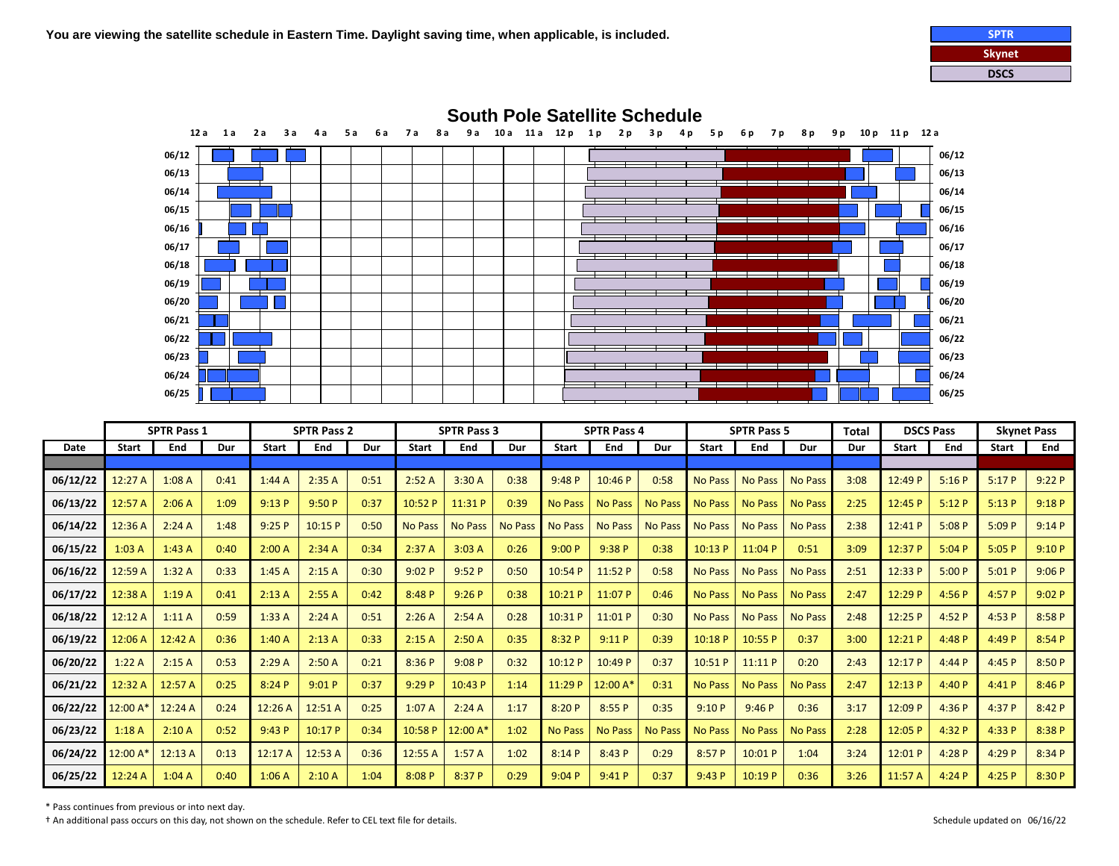



|             |              | <b>SPTR Pass 1</b> |      |              | <b>SPTR Pass 2</b> |      |                | <b>SPTR Pass 3</b> |                |                | <b>SPTR Pass 4</b> |                |                | <b>SPTR Pass 5</b> |                | <b>Total</b> | <b>DSCS Pass</b> |        |              | <b>Skynet Pass</b> |
|-------------|--------------|--------------------|------|--------------|--------------------|------|----------------|--------------------|----------------|----------------|--------------------|----------------|----------------|--------------------|----------------|--------------|------------------|--------|--------------|--------------------|
| <b>Date</b> | <b>Start</b> | End                | Dur  | <b>Start</b> | End                | Dur  | <b>Start</b>   | End                | Dur            | <b>Start</b>   | End                | Dur            | <b>Start</b>   | End                | Dur            | Dur          | <b>Start</b>     | End    | <b>Start</b> | End                |
|             |              |                    |      |              |                    |      |                |                    |                |                |                    |                |                |                    |                |              |                  |        |              |                    |
| 06/12/22    | 12:27A       | 1:08A              | 0:41 | 1:44A        | 2:35A              | 0:51 | 2:52A          | 3:30A              | 0:38           | 9:48P          | 10:46P             | 0:58           | <b>No Pass</b> | <b>No Pass</b>     | <b>No Pass</b> | 3:08         | 12:49 P          | 5:16P  | 5:17P        | 9:22P              |
| 06/13/22    | 12:57 A      | 2:06A              | 1:09 | 9:13P        | 9:50P              | 0:37 | 10:52 P        | 11:31 P            | 0:39           | <b>No Pass</b> | <b>No Pass</b>     | <b>No Pass</b> | <b>No Pass</b> | <b>No Pass</b>     | <b>No Pass</b> | 2:25         | 12:45 P          | 5:12P  | 5:13P        | 9:18P              |
| 06/14/22    | 12:36 A      | 2:24A              | 1:48 | 9:25P        | 10:15 P            | 0:50 | <b>No Pass</b> | <b>No Pass</b>     | <b>No Pass</b> | <b>No Pass</b> | <b>No Pass</b>     | <b>No Pass</b> | <b>No Pass</b> | <b>No Pass</b>     | <b>No Pass</b> | 2:38         | 12:41 P          | 5:08P  | 5:09P        | 9:14P              |
| 06/15/22    | 1:03A        | 1:43A              | 0:40 | 2:00A        | 2:34A              | 0:34 | 2:37A          | 3:03A              | 0:26           | 9:00P          | 9:38P              | 0:38           | 10:13P         | 11:04 P            | 0:51           | 3:09         | 12:37 P          | 5:04P  | 5:05P        | 9:10P              |
| 06/16/22    | 12:59 A      | 1:32A              | 0:33 | 1:45A        | 2:15A              | 0:30 | 9:02P          | 9:52P              | 0:50           | 10:54 P        | 11:52P             | 0:58           | <b>No Pass</b> | <b>No Pass</b>     | <b>No Pass</b> | 2:51         | 12:33 P          | 5:00P  | 5:01P        | 9:06P              |
| 06/17/22    | 12:38 A      | 1:19A              | 0:41 | 2:13A        | 2:55A              | 0:42 | 8:48 P         | 9:26P              | 0:38           | 10:21 P        | 11:07 P            | 0:46           | <b>No Pass</b> | <b>No Pass</b>     | <b>No Pass</b> | 2:47         | 12:29 P          | 4:56P  | 4:57 P       | 9:02P              |
| 06/18/22    | 12:12A       | 1:11A              | 0:59 | 1:33A        | 2:24A              | 0:51 | 2:26A          | 2:54A              | 0:28           | 10:31 P        | 11:01 P            | 0:30           | No Pass        | No Pass            | <b>No Pass</b> | 2:48         | 12:25P           | 4:52P  | 4:53P        | 8:58 P             |
| 06/19/22    | 12:06 A      | 12:42 A            | 0:36 | 1:40A        | 2:13A              | 0:33 | 2:15A          | 2:50A              | 0:35           | 8:32 P         | 9:11P              | 0:39           | 10:18P         | 10:55 P            | 0:37           | 3:00         | 12:21P           | 4:48 P | 4:49 P       | 8:54 P             |
| 06/20/22    | 1:22A        | 2:15A              | 0:53 | 2:29A        | 2:50A              | 0:21 | 8:36 P         | 9:08P              | 0:32           | 10:12 P        | 10:49 P            | 0:37           | 10:51P         | 11:11P             | 0:20           | 2:43         | 12:17P           | 4:44P  | 4:45P        | 8:50 P             |
| 06/21/22    | 12:32 A      | 12:57 A            | 0:25 | 8:24P        | 9:01P              | 0:37 | 9:29P          | 10:43 P            | 1:14           | 11:29 P        | $12:00A*$          | 0:31           | <b>No Pass</b> | <b>No Pass</b>     | <b>No Pass</b> | 2:47         | 12:13 P          | 4:40 P | 4:41P        | 8:46 P             |
| 06/22/22    | 12:00 A      | 12:24 A            | 0:24 | 12:26 A      | 12:51A             | 0:25 | 1:07A          | 2:24A              | 1:17           | 8:20P          | 8:55P              | 0:35           | 9:10P          | 9:46P              | 0:36           | 3:17         | 12:09 P          | 4:36P  | 4:37P        | 8:42P              |
| 06/23/22    | 1:18A        | 2:10A              | 0:52 | 9:43P        | 10:17 P            | 0:34 | 10:58 P        | 12:00 A*           | 1:02           | <b>No Pass</b> | No Pass            | <b>No Pass</b> | <b>No Pass</b> | <b>No Pass</b>     | <b>No Pass</b> | 2:28         | 12:05 P          | 4:32 P | 4:33 P       | 8:38 P             |
| 06/24/22    | 12:00 A      | 12:13 A            | 0:13 | 12:17 A      | 12:53 A            | 0:36 | 12:55 A        | 1:57A              | 1:02           | 8:14P          | 8:43P              | 0:29           | 8:57P          | 10:01 P            | 1:04           | 3:24         | 12:01P           | 4:28P  | 4:29P        | 8:34 P             |
| 06/25/22    | 12:24 A      | 1:04A              | 0:40 | 1:06A        | 2:10A              | 1:04 | 8:08P          | 8:37 P             | 0:29           | 9:04P          | 9:41P              | 0:37           | 9:43P          | 10:19 P            | 0:36           | 3:26         | 11:57 A          | 4:24P  | 4:25P        | 8:30 P             |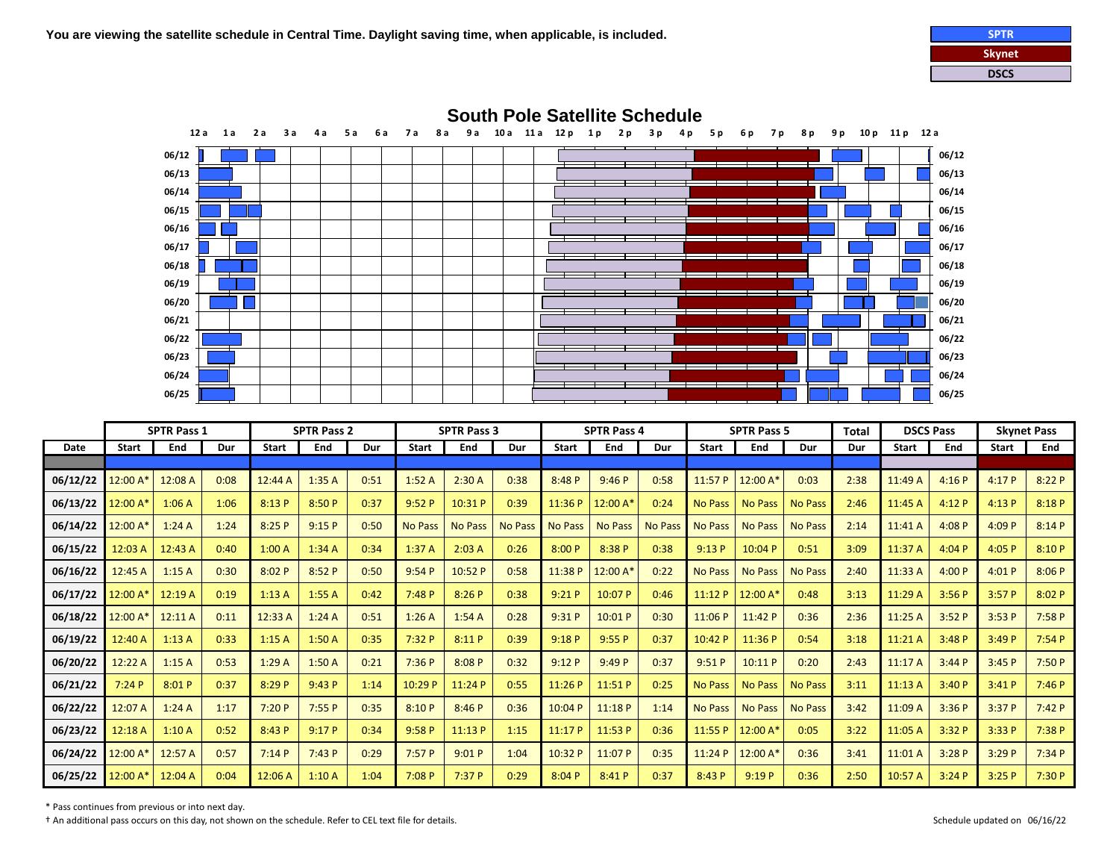



|             | <b>SPTR Pass 1</b>   |         |      | <b>SPTR Pass 2</b> |        |      | <b>SPTR Pass 3</b> |                |                | <b>SPTR Pass 4</b> |                |                | <b>SPTR Pass 5</b> |                        |                | Total | <b>DSCS Pass</b> |       | <b>Skynet Pass</b> |        |
|-------------|----------------------|---------|------|--------------------|--------|------|--------------------|----------------|----------------|--------------------|----------------|----------------|--------------------|------------------------|----------------|-------|------------------|-------|--------------------|--------|
| <b>Date</b> | <b>Start</b>         | End     | Dur  | <b>Start</b>       | End    | Dur  | <b>Start</b>       | End            | Dur            | <b>Start</b>       | End            | Dur            | <b>Start</b>       | End                    | Dur            | Dur   | <b>Start</b>     | End   | <b>Start</b>       | End    |
|             |                      |         |      |                    |        |      |                    |                |                |                    |                |                |                    |                        |                |       |                  |       |                    |        |
| 06/12/22    | 12:00 A'             | 12:08 A | 0:08 | 12:44 A            | 1:35A  | 0:51 | 1:52A              | 2:30A          | 0:38           | 8:48 P             | 9:46P          | 0:58           | 11:57 P            | $12:00 A$ <sup>*</sup> | 0:03           | 2:38  | 11:49 A          | 4:16P | 4:17P              | 8:22P  |
| 06/13/22    | $12:00 \mathsf{A}^3$ | 1:06A   | 1:06 | 8:13P              | 8:50 P | 0:37 | 9:52P              | 10:31 P        | 0:39           | 11:36 P            | 12:00 A*       | 0:24           | <b>No Pass</b>     | <b>No Pass</b>         | <b>No Pass</b> | 2:46  | 11:45 A          | 4:12P | 4:13P              | 8:18 P |
| 06/14/22    | 12:00 A*             | 1:24A   | 1:24 | 8:25P              | 9:15P  | 0:50 | <b>No Pass</b>     | <b>No Pass</b> | <b>No Pass</b> | <b>No Pass</b>     | <b>No Pass</b> | <b>No Pass</b> | <b>No Pass</b>     | <b>No Pass</b>         | <b>No Pass</b> | 2:14  | 11:41 A          | 4:08P | 4:09 P             | 8:14P  |
| 06/15/22    | 12:03 A              | 12:43 A | 0:40 | 1:00A              | 1:34A  | 0:34 | 1:37A              | 2:03A          | 0:26           | 8:00P              | 8:38 P         | 0:38           | 9:13P              | 10:04 P                | 0:51           | 3:09  | 11:37 A          | 4:04P | 4:05 P             | 8:10P  |
| 06/16/22    | 12:45 A              | 1:15A   | 0:30 | 8:02P              | 8:52P  | 0:50 | 9:54P              | 10:52 P        | 0:58           | 11:38 P            | 12:00 A*       | 0:22           | <b>No Pass</b>     | <b>No Pass</b>         | <b>No Pass</b> | 2:40  | 11:33 A          | 4:00P | 4:01P              | 8:06P  |
| 06/17/22    | 12:00 A*             | 12:19 A | 0:19 | 1:13A              | 1:55A  | 0:42 | 7:48P              | 8:26P          | 0:38           | 9:21P              | 10:07 P        | 0:46           | 11:12P             | 12:00 A                | 0:48           | 3:13  | 11:29 A          | 3:56P | 3:57P              | 8:02P  |
| 06/18/22    | 12:00 A*             | 12:11 A | 0:11 | 12:33 A            | 1:24A  | 0:51 | 1:26A              | 1:54A          | 0:28           | 9:31P              | 10:01 P        | 0:30           | 11:06P             | 11:42P                 | 0:36           | 2:36  | 11:25A           | 3:52P | 3:53P              | 7:58P  |
| 06/19/22    | 12:40 A              | 1:13A   | 0:33 | 1:15A              | 1:50A  | 0:35 | 7:32P              | 8:11P          | 0:39           | 9:18P              | 9:55P          | 0:37           | 10:42 P            | 11:36 P                | 0:54           | 3:18  | 11:21 A          | 3:48P | 3:49P              | 7:54P  |
| 06/20/22    | 12:22A               | 1:15A   | 0:53 | 1:29A              | 1:50A  | 0:21 | 7:36P              | 8:08 P         | 0:32           | 9:12P              | 9:49P          | 0:37           | 9:51P              | 10:11 P                | 0:20           | 2:43  | 11:17A           | 3:44P | 3:45P              | 7:50P  |
| 06/21/22    | 7:24P                | 8:01P   | 0:37 | 8:29P              | 9:43P  | 1:14 | 10:29 P            | 11:24 P        | 0:55           | 11:26P             | 11:51 P        | 0:25           | <b>No Pass</b>     | <b>No Pass</b>         | <b>No Pass</b> | 3:11  | 11:13A           | 3:40P | 3:41P              | 7:46P  |
| 06/22/22    | 12:07 A              | 1:24A   | 1:17 | 7:20P              | 7:55P  | 0:35 | 8:10P              | 8:46P          | 0:36           | 10:04 P            | 11:18P         | 1:14           | <b>No Pass</b>     | <b>No Pass</b>         | <b>No Pass</b> | 3:42  | 11:09 A          | 3:36P | 3:37P              | 7:42P  |
| 06/23/22    | 12:18 A              | 1:10A   | 0:52 | 8:43 P             | 9:17P  | 0:34 | 9:58P              | 11:13 P        | 1:15           | 11:17P             | 11:53 P        | 0:36           | 11:55 P            | 12:00 A                | 0:05           | 3:22  | 11:05 A          | 3:32P | 3:33 P             | 7:38 P |
| 06/24/22    | $12:00 A*$           | 12:57A  | 0:57 | 7:14P              | 7:43P  | 0:29 | 7:57P              | 9:01P          | 1:04           | 10:32 P            | 11:07 P        | 0:35           | 11:24P             | 12:00 A                | 0:36           | 3:41  | 11:01 A          | 3:28P | 3:29P              | 7:34P  |
| 06/25/22    | 12:00 A*             | 12:04 A | 0:04 | 12:06 A            | 1:10A  | 1:04 | 7:08P              | 7:37P          | 0:29           | 8:04P              | 8:41P          | 0:37           | 8:43 P             | 9:19P                  | 0:36           | 2:50  | 10:57 A          | 3:24P | 3:25P              | 7:30 P |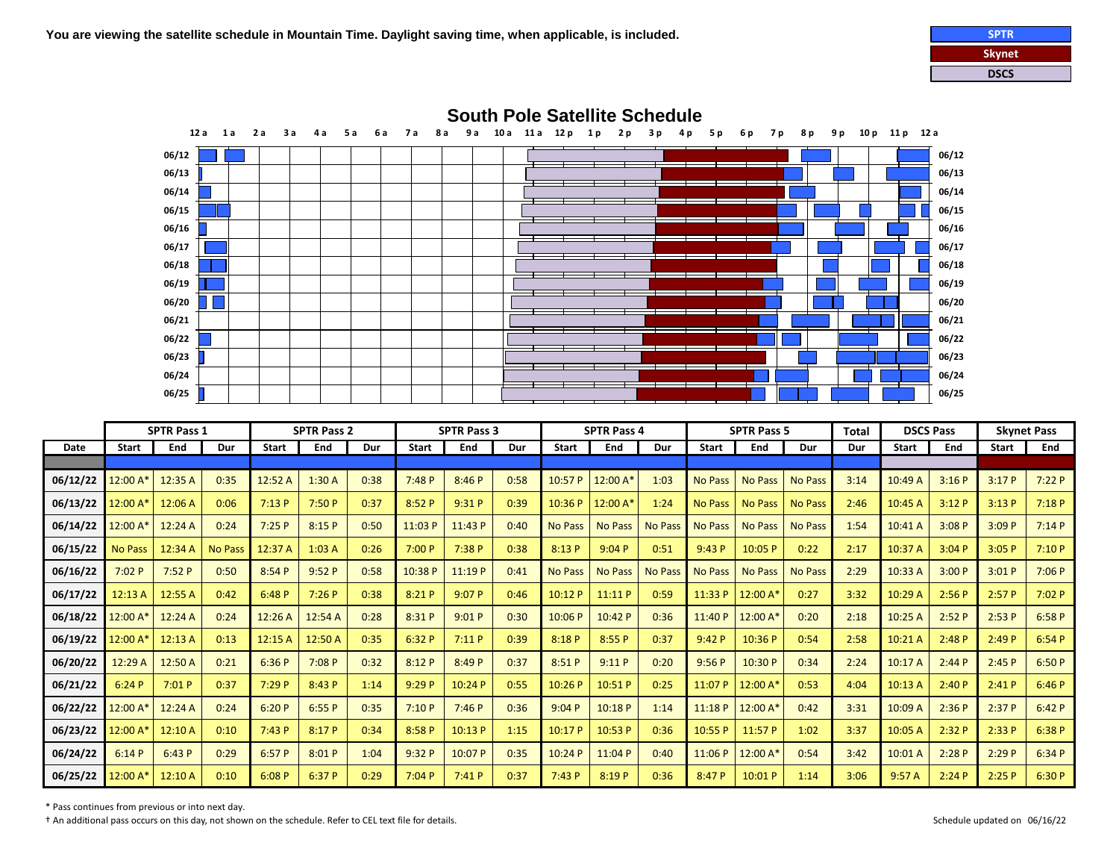



|             | <b>SPTR Pass 1</b> |         | <b>SPTR Pass 2</b> |              |         | <b>SPTR Pass 3</b> |              |         |      | <b>SPTR Pass 4</b> |                |                | <b>SPTR Pass 5</b> |                | <b>Total</b>   | <b>DSCS Pass</b> |              | <b>Skynet Pass</b> |              |        |
|-------------|--------------------|---------|--------------------|--------------|---------|--------------------|--------------|---------|------|--------------------|----------------|----------------|--------------------|----------------|----------------|------------------|--------------|--------------------|--------------|--------|
| <b>Date</b> | <b>Start</b>       | End     | Dur                | <b>Start</b> | End     | Dur                | <b>Start</b> | End     | Dur  | <b>Start</b>       | End            | Dur            | <b>Start</b>       | End            | Dur            | Dur              | <b>Start</b> | End                | <b>Start</b> | End    |
|             |                    |         |                    |              |         |                    |              |         |      |                    |                |                |                    |                |                |                  |              |                    |              |        |
| 06/12/22    | $12:00 A*$         | 12:35 A | 0:35               | 12:52 A      | 1:30A   | 0:38               | 7:48P        | 8:46P   | 0:58 | 10:57P             | 12:00 $A^*$    | 1:03           | <b>No Pass</b>     | <b>No Pass</b> | <b>No Pass</b> | 3:14             | 10:49 A      | 3:16P              | 3:17P        | 7:22P  |
| 06/13/22    | 12:00 A            | 12:06 A | 0:06               | 7:13P        | 7:50P   | 0:37               | 8:52P        | 9:31P   | 0:39 | 10:36P             | 12:00 A*       | 1:24           | <b>No Pass</b>     | <b>No Pass</b> | <b>No Pass</b> | 2:46             | 10:45 A      | 3:12P              | 3:13P        | 7:18P  |
| 06/14/22    | 12:00 A*           | 12:24 A | 0:24               | 7:25P        | 8:15P   | 0:50               | 11:03 P      | 11:43 P | 0:40 | <b>No Pass</b>     | <b>No Pass</b> | <b>No Pass</b> | <b>No Pass</b>     | <b>No Pass</b> | <b>No Pass</b> | 1:54             | 10:41 A      | 3:08P              | 3:09P        | 7:14P  |
| 06/15/22    | <b>No Pass</b>     | 12:34 A | <b>No Pass</b>     | 12:37 A      | 1:03A   | 0:26               | 7:00P        | 7:38P   | 0:38 | 8:13 P             | 9:04P          | 0:51           | 9:43P              | 10:05 P        | 0:22           | 2:17             | 10:37 A      | 3:04P              | 3:05P        | 7:10P  |
| 06/16/22    | 7:02 P             | 7:52P   | 0:50               | 8:54P        | 9:52P   | 0:58               | 10:38 P      | 11:19 P | 0:41 | <b>No Pass</b>     | <b>No Pass</b> | <b>No Pass</b> | <b>No Pass</b>     | <b>No Pass</b> | <b>No Pass</b> | 2:29             | 10:33 A      | 3:00P              | 3:01P        | 7:06P  |
| 06/17/22    | 12:13A             | 12:55 A | 0:42               | 6:48P        | 7:26P   | 0:38               | 8:21P        | 9:07P   | 0:46 | 10:12 P            | 11:11P         | 0:59           | 11:33 P            | 12:00 A        | 0:27           | 3:32             | 10:29 A      | 2:56P              | 2:57P        | 7:02 P |
| 06/18/22    | 12:00 A*           | 12:24 A | 0:24               | 12:26A       | 12:54A  | 0:28               | 8:31 P       | 9:01P   | 0:30 | 10:06 P            | 10:42 P        | 0:36           | 11:40P             | 12:00 A        | 0:20           | 2:18             | 10:25 A      | 2:52P              | 2:53P        | 6:58P  |
| 06/19/22    | 12:00 A*           | 12:13A  | 0:13               | 12:15 A      | 12:50 A | 0:35               | 6:32P        | 7:11P   | 0:39 | 8:18 P             | 8:55P          | 0:37           | 9:42P              | 10:36 P        | 0:54           | 2:58             | 10:21 A      | 2:48P              | 2:49P        | 6:54P  |
| 06/20/22    | 12:29 A            | 12:50 A | 0:21               | 6:36P        | 7:08P   | 0:32               | 8:12P        | 8:49 P  | 0:37 | 8:51 P             | 9:11P          | 0:20           | 9:56P              | 10:30 P        | 0:34           | 2:24             | 10:17 A      | 2:44P              | 2:45P        | 6:50P  |
| 06/21/22    | 6:24P              | 7:01P   | 0:37               | 7:29P        | 8:43 P  | 1:14               | 9:29P        | 10:24 P | 0:55 | 10:26P             | 10:51 P        | 0:25           | 11:07 P            | 12:00 A        | 0:53           | 4:04             | 10:13A       | 2:40P              | 2:41P        | 6:46P  |
| 06/22/22    | 12:00 A*           | 12:24A  | 0:24               | 6:20P        | 6:55P   | 0:35               | 7:10P        | 7:46P   | 0:36 | 9:04P              | 10:18P         | 1:14           | 11:18P             | 12:00 A        | 0:42           | 3:31             | 10:09 A      | 2:36P              | 2:37P        | 6:42P  |
| 06/23/22    | 12:00 A            | 12:10 A | 0:10               | 7:43P        | 8:17 P  | 0:34               | 8:58P        | 10:13 P | 1:15 | 10:17 P            | 10:53 P        | 0:36           | 10:55 P            | 11:57 P        | 1:02           | 3:37             | 10:05 A      | 2:32P              | 2:33P        | 6:38P  |
| 06/24/22    | 6:14P              | 6:43P   | 0:29               | 6:57P        | 8:01P   | 1:04               | 9:32P        | 10:07 P | 0:35 | 10:24 P            | 11:04 P        | 0:40           | 11:06P             | 12:00 A        | 0:54           | 3:42             | 10:01 A      | 2:28P              | 2:29P        | 6:34 P |
| 06/25/22    | 12:00 A            | 12:10 A | 0:10               | 6:08P        | 6:37P   | 0:29               | 7:04P        | 7:41P   | 0:37 | 7:43P              | 8:19 P         | 0:36           | 8:47 P             | 10:01 P        | 1:14           | 3:06             | 9:57A        | 2:24P              | 2:25P        | 6:30P  |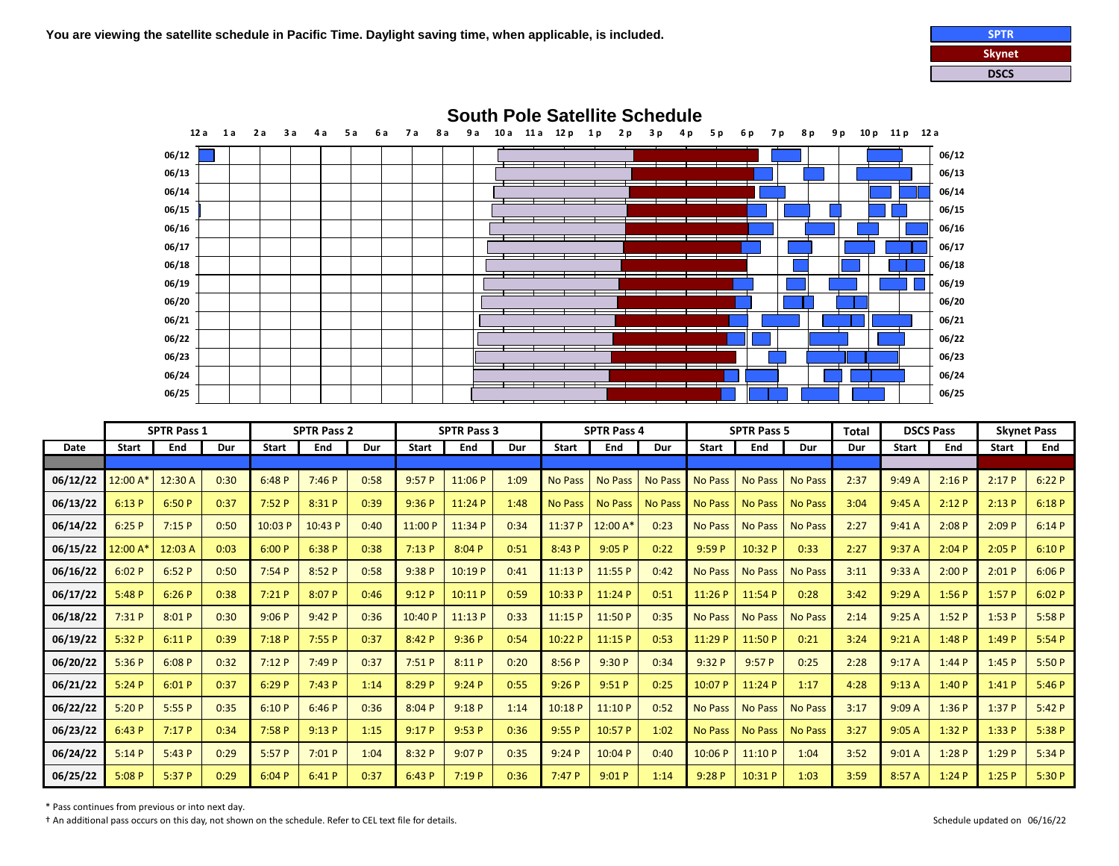



|             | <b>SPTR Pass 1</b> |         | <b>SPTR Pass 2</b> |              |         | <b>SPTR Pass 3</b> |              |         |      | <b>SPTR Pass 4</b> |                |                | <b>SPTR Pass 5</b> |                | Total          | <b>DSCS Pass</b> |              | <b>Skynet Pass</b> |              |        |
|-------------|--------------------|---------|--------------------|--------------|---------|--------------------|--------------|---------|------|--------------------|----------------|----------------|--------------------|----------------|----------------|------------------|--------------|--------------------|--------------|--------|
| <b>Date</b> | <b>Start</b>       | End     | Dur                | <b>Start</b> | End     | Dur                | <b>Start</b> | End     | Dur  | <b>Start</b>       | End            | Dur            | <b>Start</b>       | End            | Dur            | Dur              | <b>Start</b> | End                | <b>Start</b> | End    |
|             |                    |         |                    |              |         |                    |              |         |      |                    |                |                |                    |                |                |                  |              |                    |              |        |
| 06/12/22    | 12:00 A            | 12:30 A | 0:30               | 6:48P        | 7:46P   | 0:58               | 9:57P        | 11:06 P | 1:09 | <b>No Pass</b>     | <b>No Pass</b> | <b>No Pass</b> | <b>No Pass</b>     | <b>No Pass</b> | <b>No Pass</b> | 2:37             | 9:49A        | 2:16P              | 2:17P        | 6:22P  |
| 06/13/22    | 6:13P              | 6:50P   | 0:37               | 7:52P        | 8:31P   | 0:39               | 9:36P        | 11:24 P | 1:48 | <b>No Pass</b>     | <b>No Pass</b> | <b>No Pass</b> | <b>No Pass</b>     | <b>No Pass</b> | <b>No Pass</b> | 3:04             | 9:45A        | 2:12P              | 2:13P        | 6:18P  |
| 06/14/22    | 6:25P              | 7:15P   | 0:50               | 10:03 P      | 10:43 P | 0:40               | 11:00 P      | 11:34 P | 0:34 | 11:37 P            | 12:00 A*       | 0:23           | <b>No Pass</b>     | <b>No Pass</b> | <b>No Pass</b> | 2:27             | 9:41A        | 2:08P              | 2:09P        | 6:14P  |
| 06/15/22    | 12:00 A            | 12:03 A | 0:03               | 6:00P        | 6:38P   | 0:38               | 7:13P        | 8:04P   | 0:51 | 8:43P              | 9:05P          | 0:22           | 9:59P              | 10:32 P        | 0:33           | 2:27             | 9:37A        | 2:04P              | 2:05P        | 6:10P  |
| 06/16/22    | 6:02P              | 6:52P   | 0:50               | 7:54P        | 8:52P   | 0:58               | 9:38P        | 10:19 P | 0:41 | 11:13 P            | 11:55 P        | 0:42           | <b>No Pass</b>     | <b>No Pass</b> | <b>No Pass</b> | 3:11             | 9:33A        | 2:00P              | 2:01P        | 6:06P  |
| 06/17/22    | 5:48P              | 6:26P   | 0:38               | 7:21P        | 8:07 P  | 0:46               | 9:12P        | 10:11 P | 0:59 | 10:33 P            | 11:24 P        | 0:51           | 11:26 P            | 11:54 P        | 0:28           | 3:42             | 9:29A        | 1:56P              | 1:57P        | 6:02P  |
| 06/18/22    | 7:31P              | 8:01P   | 0:30               | 9:06P        | 9:42P   | 0:36               | 10:40 P      | 11:13 P | 0:33 | 11:15P             | 11:50 P        | 0:35           | <b>No Pass</b>     | <b>No Pass</b> | <b>No Pass</b> | 2:14             | 9:25A        | 1:52P              | 1:53P        | 5:58P  |
| 06/19/22    | 5:32P              | 6:11P   | 0:39               | 7:18P        | 7:55P   | 0:37               | 8:42P        | 9:36P   | 0:54 | 10:22 P            | 11:15 P        | 0:53           | 11:29 P            | 11:50 P        | 0:21           | 3:24             | 9:21A        | 1:48P              | 1:49P        | 5:54P  |
| 06/20/22    | 5:36P              | 6:08P   | 0:32               | 7:12P        | 7:49P   | 0:37               | 7:51P        | 8:11P   | 0:20 | 8:56P              | 9:30P          | 0:34           | 9:32P              | 9:57P          | 0:25           | 2:28             | 9:17A        | 1:44P              | 1:45P        | 5:50P  |
| 06/21/22    | 5:24P              | 6:01P   | 0:37               | 6:29P        | 7:43P   | 1:14               | 8:29 P       | 9:24P   | 0:55 | 9:26P              | 9:51P          | 0:25           | 10:07 P            | 11:24 P        | 1:17           | 4:28             | 9:13A        | 1:40P              | 1:41P        | 5:46P  |
| 06/22/22    | 5:20P              | 5:55P   | 0:35               | 6:10P        | 6:46P   | 0:36               | 8:04P        | 9:18P   | 1:14 | 10:18 P            | 11:10P         | 0:52           | <b>No Pass</b>     | <b>No Pass</b> | <b>No Pass</b> | 3:17             | 9:09A        | 1:36P              | 1:37P        | 5:42P  |
| 06/23/22    | 6:43P              | 7:17P   | 0:34               | 7:58P        | 9:13P   | 1:15               | 9:17P        | 9:53P   | 0:36 | 9:55P              | 10:57 P        | 1:02           | <b>No Pass</b>     | <b>No Pass</b> | <b>No Pass</b> | 3:27             | 9:05A        | 1:32P              | 1:33P        | 5:38 P |
| 06/24/22    | 5:14P              | 5:43P   | 0:29               | 5:57P        | 7:01P   | 1:04               | 8:32 P       | 9:07P   | 0:35 | 9:24P              | 10:04 P        | 0:40           | 10:06 P            | 11:10P         | 1:04           | 3:52             | 9:01A        | 1:28P              | 1:29P        | 5:34P  |
| 06/25/22    | 5:08P              | 5:37P   | 0:29               | 6:04P        | 6:41P   | 0:37               | 6:43P        | 7:19P   | 0:36 | 7:47P              | 9:01P          | 1:14           | 9:28P              | 10:31 P        | 1:03           | 3:59             | 8:57 A       | 1:24P              | 1:25P        | 5:30P  |